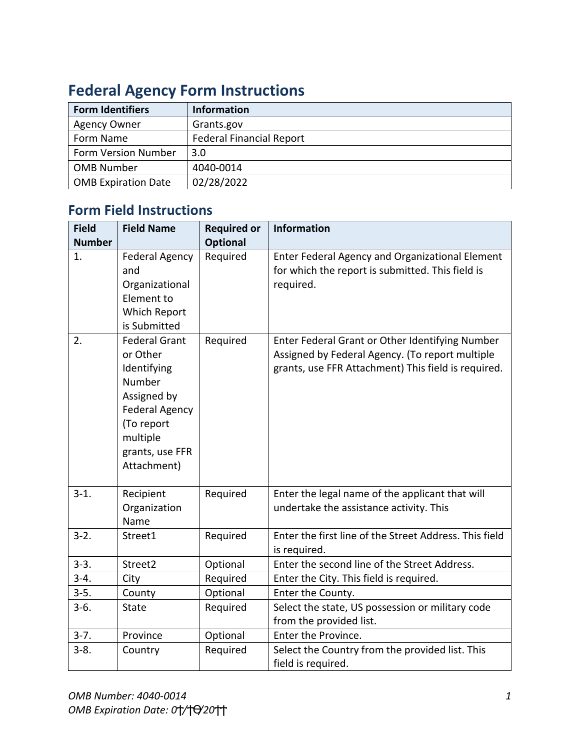| <b>Form Identifiers</b>    | <b>Information</b>              |  |  |
|----------------------------|---------------------------------|--|--|
| <b>Agency Owner</b>        | Grants.gov                      |  |  |
| Form Name                  | <b>Federal Financial Report</b> |  |  |
| <b>Form Version Number</b> | 3.0                             |  |  |
| <b>OMB Number</b>          | 4040-0014                       |  |  |
| <b>OMB Expiration Date</b> | 02/28/2022                      |  |  |

## **Federal Agency Form Instructions**

## **Form Field Instructions**

| <b>Field</b>  | <b>Field Name</b>                                                                                                                                             | <b>Required or</b> | <b>Information</b>                                                                                                                                        |
|---------------|---------------------------------------------------------------------------------------------------------------------------------------------------------------|--------------------|-----------------------------------------------------------------------------------------------------------------------------------------------------------|
| <b>Number</b> |                                                                                                                                                               | Optional           |                                                                                                                                                           |
| 1.            | <b>Federal Agency</b><br>and<br>Organizational<br>Element to<br>Which Report<br>is Submitted                                                                  | Required           | Enter Federal Agency and Organizational Element<br>for which the report is submitted. This field is<br>required.                                          |
| 2.            | <b>Federal Grant</b><br>or Other<br>Identifying<br>Number<br>Assigned by<br><b>Federal Agency</b><br>(To report<br>multiple<br>grants, use FFR<br>Attachment) | Required           | Enter Federal Grant or Other Identifying Number<br>Assigned by Federal Agency. (To report multiple<br>grants, use FFR Attachment) This field is required. |
| $3 - 1.$      | Recipient<br>Organization<br>Name                                                                                                                             | Required           | Enter the legal name of the applicant that will<br>undertake the assistance activity. This                                                                |
| $3 - 2$ .     | Street1                                                                                                                                                       | Required           | Enter the first line of the Street Address. This field<br>is required.                                                                                    |
| $3-3.$        | Street2                                                                                                                                                       | Optional           | Enter the second line of the Street Address.                                                                                                              |
| $3-4.$        | City                                                                                                                                                          | Required           | Enter the City. This field is required.                                                                                                                   |
| $3 - 5.$      | County                                                                                                                                                        | Optional           | Enter the County.                                                                                                                                         |
| $3-6.$        | State                                                                                                                                                         | Required           | Select the state, US possession or military code<br>from the provided list.                                                                               |
| $3 - 7.$      | Province                                                                                                                                                      | Optional           | Enter the Province.                                                                                                                                       |
| $3 - 8.$      | Country                                                                                                                                                       | Required           | Select the Country from the provided list. This<br>field is required.                                                                                     |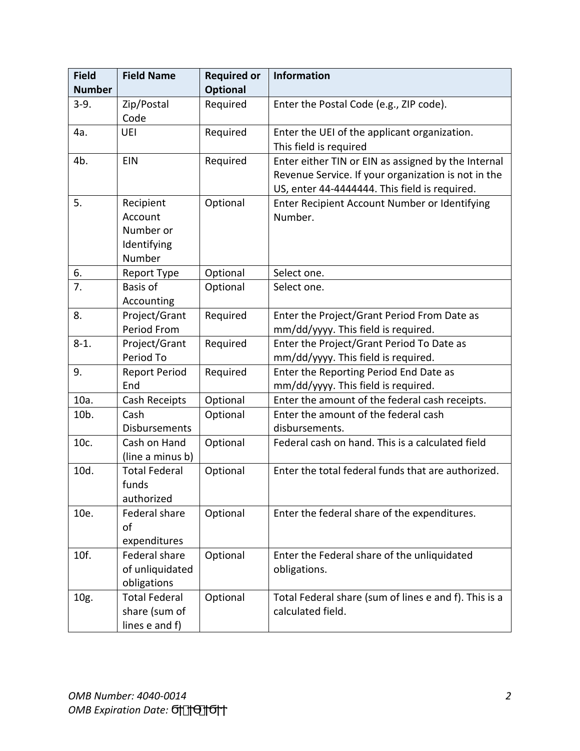| <b>Field</b>  | <b>Field Name</b>                                       | <b>Required or</b> | <b>Information</b>                                                                                                                                          |
|---------------|---------------------------------------------------------|--------------------|-------------------------------------------------------------------------------------------------------------------------------------------------------------|
| <b>Number</b> |                                                         | <b>Optional</b>    |                                                                                                                                                             |
| $3-9.$        | Zip/Postal<br>Code                                      | Required           | Enter the Postal Code (e.g., ZIP code).                                                                                                                     |
| 4a.           | UEI                                                     | Required           | Enter the UEI of the applicant organization.                                                                                                                |
|               |                                                         |                    | This field is required                                                                                                                                      |
| 4b.           | <b>EIN</b>                                              | Required           | Enter either TIN or EIN as assigned by the Internal<br>Revenue Service. If your organization is not in the<br>US, enter 44-4444444. This field is required. |
| 5.            | Recipient                                               | Optional           | Enter Recipient Account Number or Identifying                                                                                                               |
|               | Account                                                 |                    | Number.                                                                                                                                                     |
|               | Number or                                               |                    |                                                                                                                                                             |
|               | Identifying<br>Number                                   |                    |                                                                                                                                                             |
| 6.            | Report Type                                             | Optional           | Select one.                                                                                                                                                 |
| 7.            | Basis of<br>Accounting                                  | Optional           | Select one.                                                                                                                                                 |
| 8.            | Project/Grant                                           | Required           | Enter the Project/Grant Period From Date as                                                                                                                 |
|               | <b>Period From</b>                                      |                    | mm/dd/yyyy. This field is required.                                                                                                                         |
| $8-1.$        | Project/Grant                                           | Required           | Enter the Project/Grant Period To Date as                                                                                                                   |
|               | Period To                                               |                    | mm/dd/yyyy. This field is required.                                                                                                                         |
| 9.            | <b>Report Period</b>                                    | Required           | Enter the Reporting Period End Date as                                                                                                                      |
|               | End                                                     |                    | mm/dd/yyyy. This field is required.                                                                                                                         |
| 10a.          | Cash Receipts                                           | Optional           | Enter the amount of the federal cash receipts.                                                                                                              |
| 10b.          | Cash                                                    | Optional           | Enter the amount of the federal cash                                                                                                                        |
|               | Disbursements                                           |                    | disbursements.                                                                                                                                              |
| 10c.          | Cash on Hand<br>(line a minus b)                        | Optional           | Federal cash on hand. This is a calculated field                                                                                                            |
| 10d.          | <b>Total Federal</b><br>funds<br>authorized             | Optional           | Enter the total federal funds that are authorized.                                                                                                          |
| 10e.          | Federal share<br>of<br>expenditures                     | Optional           | Enter the federal share of the expenditures.                                                                                                                |
| 10f.          | Federal share<br>of unliquidated<br>obligations         | Optional           | Enter the Federal share of the unliquidated<br>obligations.                                                                                                 |
| 10g.          | <b>Total Federal</b><br>share (sum of<br>lines e and f) | Optional           | Total Federal share (sum of lines e and f). This is a<br>calculated field.                                                                                  |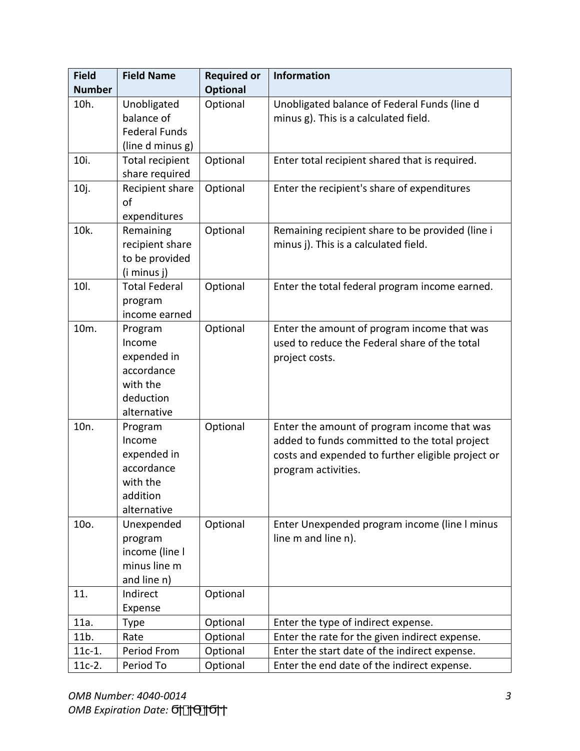| <b>Field</b>     | <b>Field Name</b>                                                                      | <b>Required or</b> | <b>Information</b>                                                                                                                                                       |
|------------------|----------------------------------------------------------------------------------------|--------------------|--------------------------------------------------------------------------------------------------------------------------------------------------------------------------|
| <b>Number</b>    |                                                                                        | Optional           |                                                                                                                                                                          |
| 10h.             | Unobligated<br>balance of<br><b>Federal Funds</b><br>(line d minus g)                  | Optional           | Unobligated balance of Federal Funds (line d<br>minus g). This is a calculated field.                                                                                    |
| 10i.             | <b>Total recipient</b><br>share required                                               | Optional           | Enter total recipient shared that is required.                                                                                                                           |
| 10j.             | Recipient share<br>of<br>expenditures                                                  | Optional           | Enter the recipient's share of expenditures                                                                                                                              |
| 10k.             | Remaining<br>recipient share<br>to be provided<br>(i minus j)                          | Optional           | Remaining recipient share to be provided (line i<br>minus j). This is a calculated field.                                                                                |
| 10I.             | <b>Total Federal</b><br>program<br>income earned                                       | Optional           | Enter the total federal program income earned.                                                                                                                           |
| 10m.             | Program<br>Income<br>expended in<br>accordance<br>with the<br>deduction<br>alternative | Optional           | Enter the amount of program income that was<br>used to reduce the Federal share of the total<br>project costs.                                                           |
| 10 <sub>n.</sub> | Program<br>Income<br>expended in<br>accordance<br>with the<br>addition<br>alternative  | Optional           | Enter the amount of program income that was<br>added to funds committed to the total project<br>costs and expended to further eligible project or<br>program activities. |
| 10o.             | Unexpended<br>program<br>income (line I<br>minus line m<br>and line n)                 | Optional           | Enter Unexpended program income (line I minus<br>line m and line n).                                                                                                     |
| 11.              | Indirect<br>Expense                                                                    | Optional           |                                                                                                                                                                          |
| 11a.             | Type                                                                                   | Optional           | Enter the type of indirect expense.                                                                                                                                      |
| 11b.             | Rate                                                                                   | Optional           | Enter the rate for the given indirect expense.                                                                                                                           |
| $11c-1.$         | Period From                                                                            | Optional           | Enter the start date of the indirect expense.                                                                                                                            |
| $11c-2.$         | Period To                                                                              | Optional           | Enter the end date of the indirect expense.                                                                                                                              |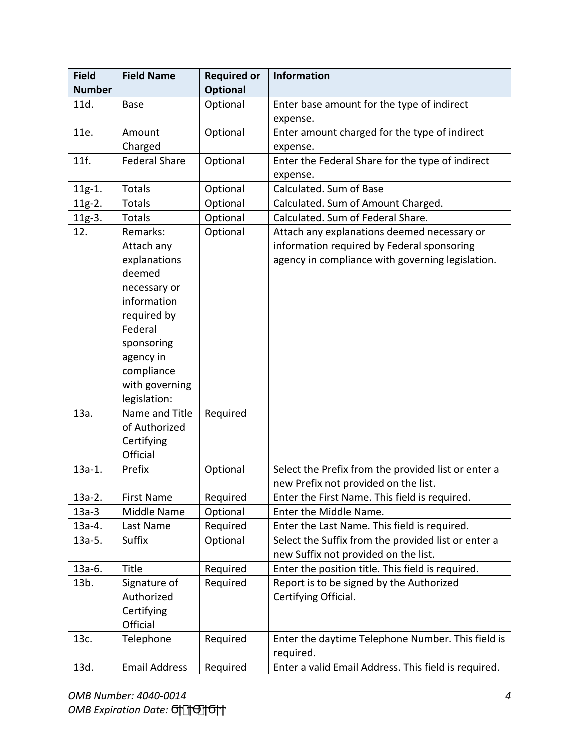| <b>Field</b>  | <b>Field Name</b>            | <b>Required or</b> | <b>Information</b>                                                                        |
|---------------|------------------------------|--------------------|-------------------------------------------------------------------------------------------|
| <b>Number</b> |                              | <b>Optional</b>    |                                                                                           |
| 11d.          | <b>Base</b>                  | Optional           | Enter base amount for the type of indirect                                                |
|               |                              |                    | expense.                                                                                  |
| 11e.          | Amount                       | Optional           | Enter amount charged for the type of indirect                                             |
|               | Charged                      |                    | expense.                                                                                  |
| 11f.          | <b>Federal Share</b>         | Optional           | Enter the Federal Share for the type of indirect                                          |
|               |                              |                    | expense.                                                                                  |
| 11g-1.        | <b>Totals</b>                | Optional           | Calculated. Sum of Base                                                                   |
| $11g-2.$      | <b>Totals</b>                | Optional           | Calculated. Sum of Amount Charged.                                                        |
| $11g-3.$      | Totals                       | Optional           | Calculated. Sum of Federal Share.                                                         |
| 12.           | Remarks:<br>Attach any       | Optional           | Attach any explanations deemed necessary or<br>information required by Federal sponsoring |
|               | explanations<br>deemed       |                    | agency in compliance with governing legislation.                                          |
|               | necessary or                 |                    |                                                                                           |
|               | information                  |                    |                                                                                           |
|               | required by                  |                    |                                                                                           |
|               | Federal                      |                    |                                                                                           |
|               | sponsoring                   |                    |                                                                                           |
|               | agency in                    |                    |                                                                                           |
|               | compliance<br>with governing |                    |                                                                                           |
|               | legislation:                 |                    |                                                                                           |
| 13a.          | Name and Title               | Required           |                                                                                           |
|               | of Authorized                |                    |                                                                                           |
|               | Certifying                   |                    |                                                                                           |
|               | Official                     |                    |                                                                                           |
| $13a-1.$      | Prefix                       | Optional           | Select the Prefix from the provided list or enter a                                       |
|               |                              |                    | new Prefix not provided on the list.                                                      |
| $13a-2.$      | <b>First Name</b>            | Required           | Enter the First Name. This field is required.                                             |
| $13a-3$       | Middle Name                  | Optional           | Enter the Middle Name.                                                                    |
| $13a-4.$      | Last Name                    | Required           | Enter the Last Name. This field is required.                                              |
| $13a-5.$      | Suffix                       | Optional           | Select the Suffix from the provided list or enter a                                       |
|               |                              |                    | new Suffix not provided on the list.                                                      |
| 13a-6.        | Title                        | Required           | Enter the position title. This field is required.                                         |
| 13b.          | Signature of                 | Required           | Report is to be signed by the Authorized                                                  |
|               | Authorized                   |                    | Certifying Official.                                                                      |
|               | Certifying                   |                    |                                                                                           |
|               | Official                     |                    |                                                                                           |
| 13c.          | Telephone                    | Required           | Enter the daytime Telephone Number. This field is                                         |
|               |                              |                    | required.                                                                                 |
| 13d.          | <b>Email Address</b>         | Required           | Enter a valid Email Address. This field is required.                                      |